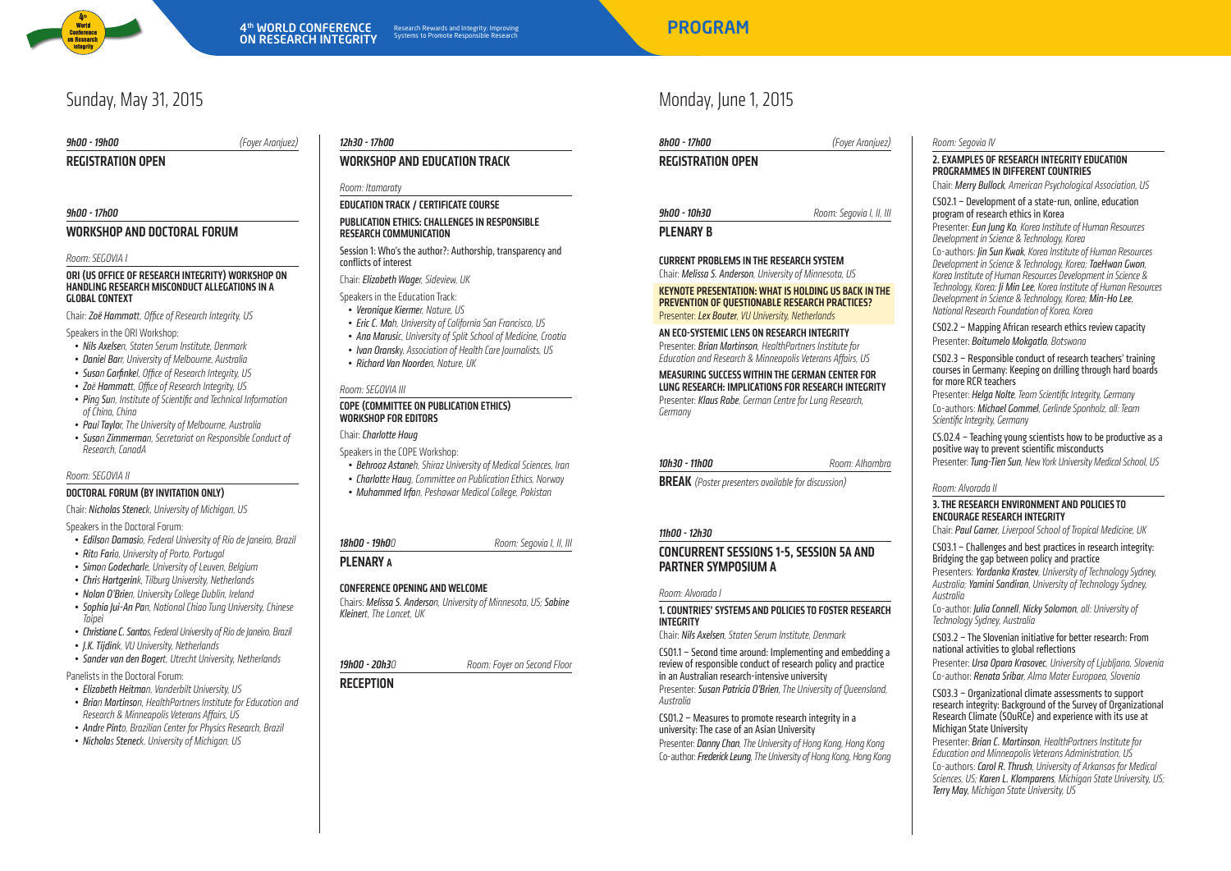

# Sunday, May 31, 2015

### 9h00 - 19h00 (Foyer Aranjuez)

REGISTRATION OPEN

### 9h00 - 17h00

### WORKSHOP AND DOCTORAL FORUM

#### Room: SEGOVIA I

#### ORI (US Office of Research Integrity) Workshop on handling research misconduct allegationsin a globalcontext

Chair: Zoë Hammatt, Office of Research Integrity, US

Speakers in the ORI Workshop:

- Nils Axelsen, Staten Serum Institute, Denmark
- Daniel Barr, University of Melbourne, Australia
- Susan Garfinkel, Office of Research Integrity, US
- Zoë Hammatt, Office of Research Integrity, US
- Ping Sun, Institute of Scientific and Technical Information of China, China
- Paul Taylor, The University of Melbourne, Australia
- Susan Zimmerman, Secretariat on Responsible Conduct of Research, Canada

### Room: SEGOVIA II

### Doctoral Forum (by invitation only)

Chair: Nicholas Steneck, University of Michigan, US

Speakers in the Doctoral Forum:

- **Edilson Damasi**o, Federal University of Rio de Janeiro, Brazil
- Rita Faria, University of Porto, Portugal
- Simon Godecharle, University of Leuven, Belgium
- Chris Hartgerink, Tilburg University, Netherlands
- Nolan O'Brien, University College Dublin, Ireland
- • Sophia Jui-An Pan, National Chiao Tung University, Chinese Taipei
- Christiane C. Santos, Federal University of Rio de Janeiro, Brazil
- I.K. Tiidink, VII University, Netherlands
- Sander van den Bogert, Utrecht University, Netherlands

Panelists in the Doctoral Forum:

- • Elizabeth Heitman, Vanderbilt University, US
- Brian Martinson, HealthPartners Institute for Education and Research & Minneapolis Veterans Affairs, US
- Andre Pinto, Brazilian Center for Physics Research, Brazil
- Nicholas Steneck, University of Michigan, US

### 12h30 - 17h00

### WORKSHOP and EDUCATION TRACK

### Room: Itamaraty

### Education Track / Certificate course

### PUBLICATION ETHICS: CHALLENGES IN RESPONSIBLE research communication

Session 1: Who's the author?: Authorship, transparency and conflicts of interest

Chair: Elizabeth Wager, Sideview, UK

- Speakers in the Education Track:
- Veronique Kiermer, Nature, US
- Eric C. Mah, University of California San Francisco, US
- Ana Marusic, University of Split School of Medicine, Croatia
- Ivan Oransky, Association of Health Care Journalists, US
- Richard Van Noorden, Nature, UK

### Room: SEGOVIA III

### COPE (Committee on Publication Ethics) Workshop for editors

Chair: Charlotte Haug

- Speakers in the COPE Workshop:
- Behrooz Astaneh, Shiraz University of Medical Sciences, Iran • Charlotte Haug, Committee on Publication Ethics, Norway
- Muhammed Irfan, Peshawar Medical College, Pakistan

## **18h00 - 19h0**0 **Room: Segovia I, II, III**

### PLENARY A

### Conference opening andwelcome

Chairs: Melissa S. Anderson, University of Minnesota, US; Sabine Kleinert, The Lancet, UK

**19h00 - 20h3**0 Room: Fover on Second Floor

### **RECEPTION**

# Monday, June 1, 2015

| 8h00 - 17h00      | (Foyer Aranjuez)         |  |  |
|-------------------|--------------------------|--|--|
| REGISTRATION OPEN |                          |  |  |
|                   |                          |  |  |
| 9h00 - 10h30      | Room: Segovia I, II, III |  |  |
|                   |                          |  |  |

### **PLENARY B**

### Current problemsin the research system Chair: Melissa S. Anderson, University of Minnesota, US

### KEYNOTE PRESENTATION: WHAT IS HOLDING US BACK IN THE prevention of questionable research practices? Presenter: Lex Bouter, VU University, Netherlands

### An eco-systemiclens on research integrity

Presenter: Brian Martinson, HealthPartners Institute for Education and Research & Minneapolis Veterans Affairs, US

#### Measuring successwithin the German Center for LUNG RESEARCH: IMPLICATIONS FOR RESEARCH INTEGRITY Presenter: Klaus Rabe, German Centre for Lung Research, Germany

10h30 - 11h00 Room: Alhambra

**BREAK** (Poster presenters available for discussion)

### 11h00 - 12h30

### CONCURRENT SESSIONS 1-5, SESSION 5A AND PARTNER SYMPOSIUM A

### Room: Alvorada I

### 1. Countries' systems and policiesto foster research integrity

Chair: Nils Axelsen, Staten Serum Institute, Denmark

CS01.1 – Second time around: Implementing and embedding a review of responsible conduct of research policy and practice in an Australian research-intensive university Presenter: Susan Patricia O'Brien, The University of Queensland, Australia

CS01.2 – Measures to promote research integrity in a university: The case of an Asian University Presenter: Danny Chan, The University of Hong Kong, Hong Kong Co-author: Frederick Leung, The University of Hong Kong, Hong Kong

### Room: Segovia IV

### 2. Examples of research integrity education PROGRAMMES IN DIFFERENT COUNTRIES

Chair: Merry Bullock, American Psychological Association, US

CS02.1 – Development of a state-run, online, education program of research ethics in Korea

Presenter: Eun Jung Ko, Korea Institute of Human Resources Development in Science & Technology, Korea Co-authors: Jin Sun Kwak, Korea Institute of Human Resources Development in Science & Technology, Korea;TaeHwan Gwon, Korea Institute of Human Resources Development in Science & Technology, Korea; Ji Min Lee, Korea Institute of Human Resources Development in Science & Technology, Korea; Min-Ho Lee, National Research Foundation of Korea, Korea

CS02.2 – Mapping African research ethics review capacity Presenter: Boitumelo Mokgatla, Botswana

CS02.3 – Responsible conduct of research teachers' training courses in Germany: Keeping on drilling through hard boards for more RCR teachers

Presenter: Helga Nolte, Team Scientific Integrity, Germany Co-authors: Michael Gommel, Gerlinde Sponholz, all: Team Scientific Integrity, Germany

CS.02.4 – Teaching young scientists how to be productive as a positive way to prevent scientific misconducts Presenter: Tung-Tien Sun, New York University Medical School, US

### Room: Alvorada II

### 3. The research environment and policiesto encourage research integrity

Chair: Paul Garner, Liverpool School of Tropical Medicine, UK

CS03.1 – Challenges and best practices in research integrity: Bridging the gap between policy and practice Presenters: Yordanka Krastev, University of Technology Sydney, Australia;Yamini Sandiran, University of Technology Sydney, Australia

Co-author: JuliaConnell, Nicky Solomon, all: University of Technology Sydney, Australia

CS03.2 – The Slovenian initiative for better research: From national activities to global reflections

Presenter: Ursa Opara Krasovec, University of Ljubljana, Slovenia Co-author: RenataSribar, Alma Mater Europaea, Slovenia

### CS03.3 – Organizational climate assessments to support research integrity: Background of the Survey of Organizational Research Climate (SOuRCe) and experience with its use at Michigan State University

Presenter: Brian C. Martinson, HealthPartners Institute for Education and Minneapolis Veterans Administration, US Co-authors: Carol R. Thrush, University of Arkansas for Medical Sciences, US; Karen L. Klomparens, Michigan State University, US; Terry May, Michigan State University, US

Research Rewards and Integrity: Improving entitled and the state of the **PROGRAM**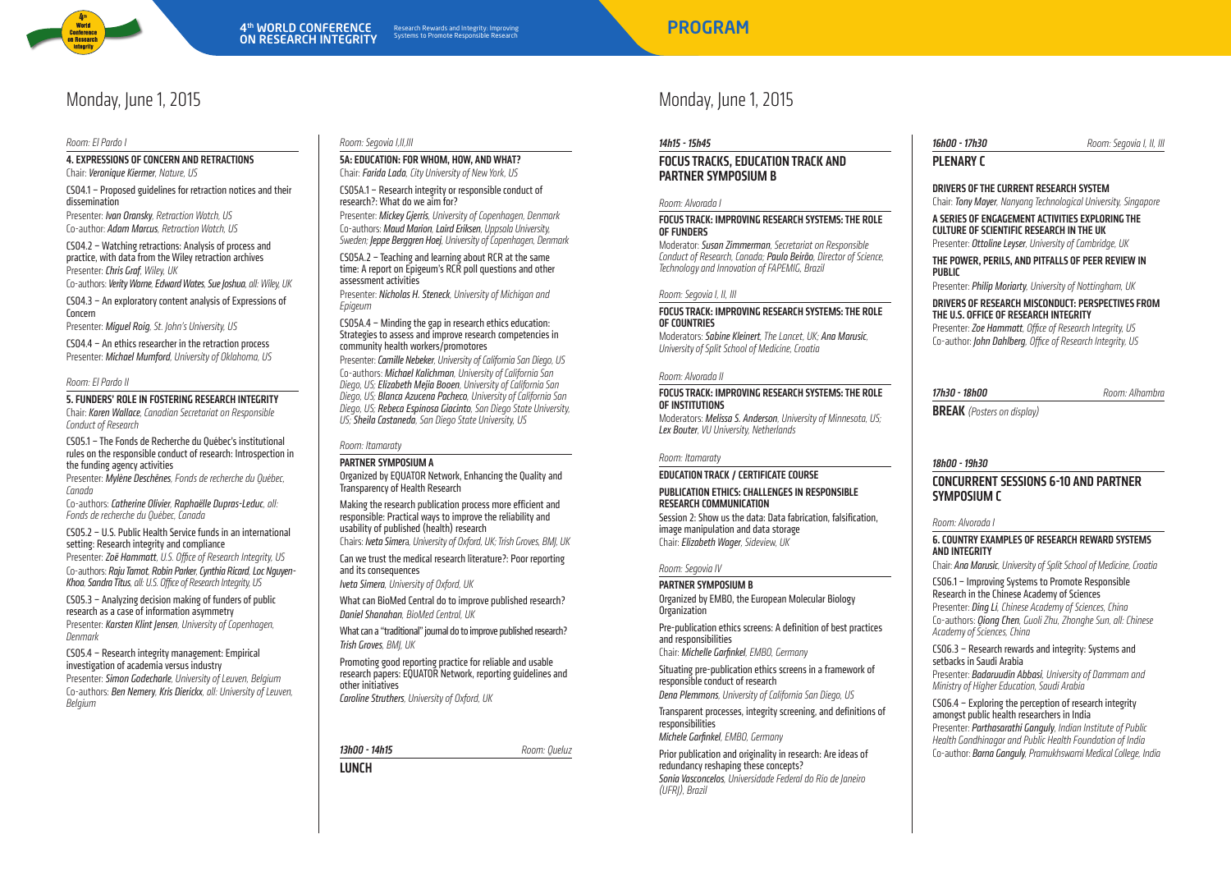

#### Room: El Pardo I

### 4. EXPRESSIONS OF CONCERN AND RETRACTIONS

Chair: Veronique Kiermer, Nature, US

Monday, June 1, 2015

CS04.1 – Proposed guidelines for retraction notices and their dissemination

Presenter: **Ivan Oransky**, Retraction Watch, US Co-author: Adam Marcus, Retraction Watch, US

CS04.2 – Watching retractions: Analysis of process and practice, with data from the Wiley retraction archives Presenter: Chris Graf, Wiley, UK

Co-authors: Verity Warne, Edward Wates, Sue Joshua, all: Wiley, UK

CS04.3 – An exploratory content analysis of Expressions of Concern

Presenter: Miquel Roig, St. John's University, US

CS04.4 – An ethics researcher in the retraction process Presenter: Michael Mumford, University of Oklahoma, US

### Room: El Pardo II

5. Funders' role in fostering research integrity

Chair: Karen Wallace, Canadian Secretariat on Responsible Conduct of Research

### CS05.1 – The Fonds de Recherche du Québec's institutional rules on the responsible conduct of research: Introspection in the funding agency activities

Presenter: Mylène Deschênes, Fonds de recherche du Québec, Canada

Co-authors: Catherine Olivier, Raphaëlle Dupras-Leduc, all: Fonds de recherche du Québec, Canada

CS05.2 – U.S. Public Health Service funds in an international setting: Research integrity and compliance Presenter: Zoë Hammatt, U.S. Office of Research Integrity, US

Co-authors: Raju Tamot, Robin Parker, Cynthia Ricard, Loc Nguyen-Khoa, Sandra Titus, all: U.S. Office of Research Integrity, US

CS05.3 – Analyzing decision making of funders of public research as a case of information asymmetry Presenter: Karsten Klint Jensen, University of Conenhagen, Denmark

CS05.4 – Research integrity management: Empirical investigation of academia versus industry Presenter: Simon Godecharle, University of Leuven, Belgium Co-authors: Ben Nemery, Kris Dierickx, all: University of Leuven, Belgium

### Room: Segovia I,II,III

5A: EDUCATION: FOR WHOM, HOW, AND WHAT? Chair: Farida Lada, City University of New York, US

CS05A.1 – Research integrity or responsible conduct of research?: What do we aim for?

Presenter: Mickey Gjerris, University of Copenhagen, Denmark Co-authors: Maud Marion,Laird Eriksen, Uppsala University, Sweden; **Jeppe Berggren Hoej,** University of Copenhagen, Denmark

CS05A.2 – Teaching and learning about RCR at the same time: A report on Epigeum's RCR poll questions and other assessment activities

Presenter: Nicholas H. Steneck, University of Michigan and Epigeum

CS05A.4 – Minding the gap in research ethics education: Strategies to assess and improve research competencies in community health workers/promotores

Presenter: Camille Nebeker, University of California San Diego, US Co-authors: Michael Kalichman, University of California San Diego, US; Elizabeth Mejia Booen, University of California San Diego, US; Blanca Azucena Pacheco, University of California San Diego, US; Rebeca Espinosa Giacinto, San Diego State University, US; Sheila Castaneda, San Diego State University, US

### Room: Itamaraty Partner Symposium A

Organized by EQUATOR Network, Enhancing the Quality and Transparency of Health Research

Making the research publication process more efficient and responsible: Practical ways to improve the reliability and usability of published (health) research

Chairs: Iveta Simera, University of Oxford, UK; Trish Groves, BMJ, UK Can we trust the medical research literature?: Poor reporting and its consequences

Iveta Simera, University of Oxford, UK

What can BioMed Central do to improve published research? Daniel Shanahan, BioMed Central, UK

What can a "traditional" journal do to improve published research? Trish Groves, BMJ, UK

Promoting good reporting practice for reliable and usable research papers: EQUATOR Network, reporting guidelines and other initiatives

Caroline Struthers, University of Oxford, UK

13h00 - 14h15 Room: Queluz

**LUNCH** 

### Monday, June 1, 2015

### 14h15 - 15h45

### FOCUS TRACKS, EDUCATION TRACK and PARTNER SYMPOSIUM B

### Room: Alvorada I

### Focus Track: Improving research systems: The role OF FUNDERS

Moderator: Susan Zimmerman, Secretariat on Responsible Conduct of Research, Canada; Paulo Beirão, Director of Science, Technology and Innovation of FAPEMIG, Brazil

### Room: Segovia I, II, III

### Focus Track: Improving research systems: The role **OF COUNTRIES**

Moderators: Sabine Kleinert, The Lancet, UK; Ana Marusic, University of Split School of Medicine, Croatia

### Room: Alvorada II

### Focus Track: Improving research systems: The role ofinstitutions

Moderators: Melissa S. Anderson, University of Minnesota, US; Lex Bouter, VU University, Netherlands

### Room: Itamaraty

### Education Track / Certificate course

### PUBLICATION ETHICS: CHALLENGES IN RESPONSIBLE research communication

Session 2: Show us the data: Data fabrication, falsification, image manipulation and data storage Chair: Elizabeth Wager, Sideview, UK

### Room: Segovia IV

### Partner Symposium B

Organized by EMBO, the European Molecular Biology Organization

Pre-publication ethics screens: A definition of best practices and responsibilities

Chair: Michelle Garfinkel, EMBO, Germany

Situating pre-publication ethics screens in a framework of responsible conduct of research Dena Plemmons, University of California San Diego, US

Transparent processes, integrity screening, and definitions of responsibilities

Michele Garfinkel, EMBO, Germany

### Prior publication and originality in research: Are ideas of redundancy reshaping these concepts? Sonia Vasconcelos, Universidade Federal do Rio de Janeiro (UFRJ), Brazil

**16h00 - 17h30** Room: Segovia I, II, III, Room: Segovia I, II, III,

PLENARY C

### DRIVERS OF THE CURRENT RESEARCH SYSTEM

Chair: Tony Mayer, Nanyang Technological University, Singapore

A series of engagement activities exploring the CULTURE OF SCIENTIFIC RESEARCH IN THE UK Presenter: Ottoline Leyser, University of Cambridge, UK

### The power, perils, and pitfalls of peer review in public

Presenter: Philip Moriarty, University of Nottingham, UK

DRIVERS OF RESEARCH MISCONDUCT: PERSPECTIVES FROM the U.S. Office of Research Integrity

Presenter: Zoe Hammatt, Office of Research Integrity, US Co-author: John Dahlberg, Office of Research Integrity, US

| 'h30 - 18h00 |  |  |
|--------------|--|--|

17h30 - 18h00 **Room: Alhambra** 

**BREAK** (Posters on display)

### 18h00 - 19h30

### CONCURRENT SESSIONS 6-10 AND PARTNER SYMPOSIUM C

### Room: Alvorada I

### 6. Country examples of research reward systems and integrity

Chair: Ana Marusic, University of Split School of Medicine, Croatia

CS06.1 – Improving Systems to Promote Responsible Research in the Chinese Academy of Sciences Presenter: Ding Li, Chinese Academy of Sciences, China Co-authors: Qiong Chen, Guoli Zhu, Zhonghe Sun, all: Chinese Academy of Sciences, China

CS06.3 – Research rewards and integrity: Systems and setbacks in Saudi Arabia

Presenter: Badaruudin Abbasi, University of Dammam and Ministry of Higher Education, Saudi Arabia

CS06.4 – Exploring the perception of research integrity amongst public health researchers in India Presenter: Parthasarathi Ganguly, Indian Institute of Public Health Gandhinagar and Public Health Foundation of India Co-author: Barna Ganguly, Pramukhswami Medical College, India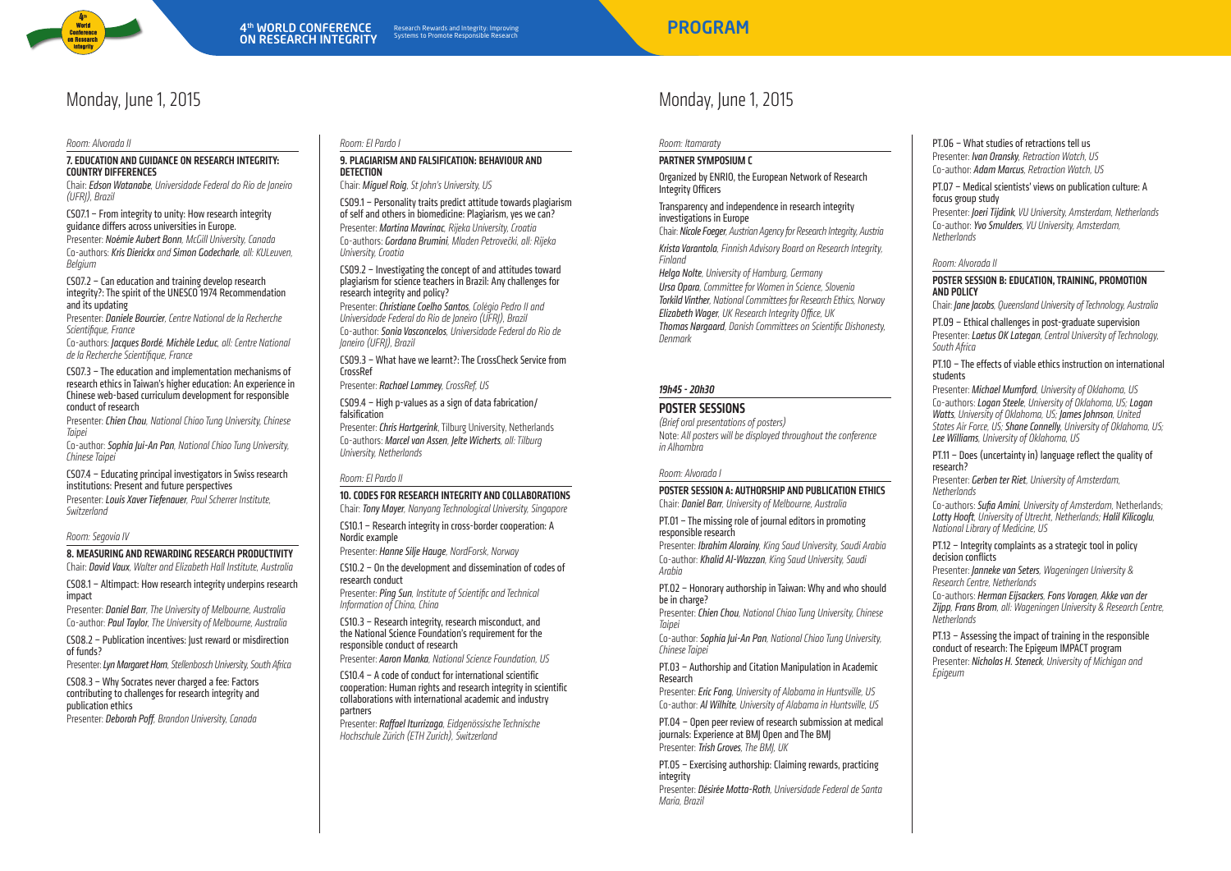

### Monday, June 1, 2015

Room: Alvorada II

Monday, June 1, 2015

### 7. Education and guidance on research integrity: Country differences

Chair: Edson Watanabe, Universidade Federal do Rio de Janeiro (UFRJ), Brazil

CS07.1 – From integrity to unity: How research integrity guidance differs across universities in Europe.

Presenter: Noémie Aubert Bonn, McGill University, Canada Co-authors: Kris Dierickx and Simon Godecharle, all: KULeuven, **Belgium** 

CS07.2 – Can education and training develop research integrity?: The spirit of the UNESCO 1974 Recommendation and its updating

Presenter: Daniele Bourcier, Centre National de la Recherche Scientifique, France

Co-authors: Jacques Bordé, Michèle Leduc, all: Centre National de la Recherche Scientifique, France

CS07.3 – The education and implementation mechanisms of research ethics in Taiwan's higher education: An experience in Chinese web-based curriculum development for responsible conduct of research

Presenter: Chien Chou, National Chiao Tung University, Chinese Taipei

Co-author: Sophia Jui-An Pan, National Chiao Tung University, Chinese Taipei

CS07.4 – Educating principal investigators in Swiss research institutions: Present and future perspectives Presenter: Louis Xaver Tiefenauer, Paul Scherrer Institute, Switzerland

### Room: Segovia IV

8. MEASURING AND REWARDING RESEARCH PRODUCTIVITY

Chair: David Vaux, Walter and Elizabeth Hall Institute, Australia

CS08.1 – Altimpact: How research integrity underpins research impact

Presenter: Daniel Barr, The University of Melbourne, Australia Co-author: Paul Taylor, The University of Melbourne, Australia

CS08.2 – Publication incentives: Just reward or misdirection of funds?

Presenter: Lyn Margaret Horn, Stellenbosch University, South Africa

CS08.3 – Why Socrates never charged a fee: Factors contributing to challenges for research integrity and publication ethics

Presenter: Deborah Poff, Brandon University, Canada

### Room: El Pardo I

### 9. Plagiarism and falsification: Behaviour and detection

Chair: Miguel Roig, St John's University, US

CS09.1 – Personality traits predict attitude towards plagiarism of self and others in biomedicine: Plagiarism, yes we can? Presenter: Martina Mavrinac, Rijeka University, Croatia Co-authors: Gordana Brumini, Mladen Petrovečki, all: Rijeka University, Croatia

CS09.2 – Investigating the concept of and attitudes toward plagiarism for science teachers in Brazil: Any challenges for research integrity and policy?

Presenter: Christiane Coelho Santos, Colégio Pedro II and Universidade Federal do Rio de Janeiro (UFRJ), Brazil Co-author: Sonia Vasconcelos, Universidade Federal do Rio de Janeiro (UFRJ), Brazil

CS09.3 – What have we learnt?: The CrossCheck Service from **CrossRef** 

Presenter: Rachael Lammey, CrossRef, US

CS09.4 – High p-values as a sign of data fabrication/ falsification

Presenter: Chris Hartgerink, Tilburg University, Netherlands Co-authors: Marcel van Assen, Jelte Wicherts, all: Tilburg University, Netherlands

### Room: El Pardo II

### 10. CODES FOR RESEARCH INTEGRITY AND COLLABORATIONS

Chair: Tony Mayer, Nanyang Technological University, Singapore CS10.1 – Research integrity in cross-border cooperation: A Nordic example

Presenter: Hanne Silie Hauge, NordForsk, Norway

CS10.2 – On the development and dissemination of codes of research conduct

Presenter: Ping Sun, Institute of Scientific and Technical Information of China, China

CS10.3 – Research integrity, research misconduct, and the National Science Foundation's requirement for the responsible conduct of research

Presenter: Aaron Manka, National Science Foundation, US

CS10.4 – A code of conduct for international scientific cooperation: Human rights and research integrity in scientific collaborations with international academic and industry partners

Presenter: Raffael Iturrizaga, Eidgenössische Technische Hochschule Zürich (ETH Zurich), Switzerland

Room: Itamaraty

### Partner Symposium C

Organized by ENRIO, the European Network of Research Integrity Officers

Transparency and independence in research integrity investigations in Europe

Chair: Nicole Foeger, Austrian Agency for Research Integrity, Austria Krista Varantola, Finnish Advisory Board on Research Integrity, Finland

Helga Nolte, University of Hamburg, Germany Ursa Opara, Committee for Women in Science, Slovenia Torkild Vinther, National Committees for Research Ethics, Norway Elizabeth Wager, UK Research Integrity Office, UK Thomas Nørgaard, Danish Committees on Scientific Dishonesty, Denmark

### 19h45 - 20h30

### POSTER SESSIONS

(Brief oral presentations of posters) Note: All posters will be displayed throughout the conference in Alhambra

### Room: Alvorada I

Poster Session A: Authorship and publication ethics Chair: Daniel Barr, University of Melbourne, Australia

PT.01 – The missing role of journal editors in promoting responsible research

Presenter: Ibrahim Alorainy, King Saud University, Saudi Arabia Co-author: Khalid Al-Wazzan, King Saud University, Saudi Arabia

PT.02 – Honorary authorship in Taiwan: Why and who should be in charge?

Presenter: Chien Chou, National Chiao Tung University, Chinese Taipei

Co-author: Sophia Jui-An Pan, National Chiao Tung University, Chinese Taipei

PT.03 – Authorship and Citation Manipulation in Academic Research

Presenter: *Eric Fong, University of Alabama in Huntsville, US* Co-author: Al Wilhite, University of Alabama in Huntsville, US

PT.04 – Open peer review of research submission at medical journals: Experience at BMJ Open and The BMJ Presenter: Trish Groves, The BMI, UK

PT.05 – Exercising authorship: Claiming rewards, practicing integrity

Presenter: Désirée Motta-Roth, Universidade Federal de Santa Maria, Brazil

PT.06 – What studies of retractions tell us Presenter: **Ivan Oransky**, Retraction Watch, US Co-author: Adam Marcus, Retraction Watch, US

PT.07 – Medical scientists' views on publication culture: A focus group study

Presenter: Joeri Tiidink, VU University, Amsterdam, Netherlands Co-author: Yvo Smulders, VII University, Amsterdam, **Netherlands** 

### Room: Alvorada II

### Poster Session B: Education, training, promotion and policy

Chair: Jane Jacobs, Queensland University of Technology, Australia

PT.09 – Ethical challenges in post-graduate supervision Presenter: Laetus OK Lategan, Central University of Technology, South Africa

PT.10 – The effects of viable ethics instruction on international students

Presenter: Michael Mumford, University of Oklahoma, US Co-authors: Logan Steele, University of Oklahoma, US; Logan Watts, University of Oklahoma, US; James Johnson, United States Air Force, US; Shane Connelly, University of Oklahoma, US; Lee Williams, University of Oklahoma, US

PT.11 – Does (uncertainty in) language reflect the quality of research?

Presenter: Gerhen ter Riet, University of Amsterdam Netherlands

Co-authors: Sufia Amini, University of Amsterdam, Netherlands; Lotty Hooft, University of Utrecht, Netherlands; Halil Kilicoglu, National Library of Medicine, US

PT.12 – Integrity complaints as a strategic tool in policy decision conflicts

Presenter: Janneke van Seters, Wageningen University & Research Centre, Netherlands

Co-authors: Herman Eijsackers, Fons Voragen, Akke van der Zijpp, Frans Brom, all: Wageningen University & Research Centre, Netherlands

PT.13 – Assessing the impact of training in the responsible conduct of research: The Epigeum IMPACT program Presenter: Nicholas H. Steneck, University of Michigan and Epigeum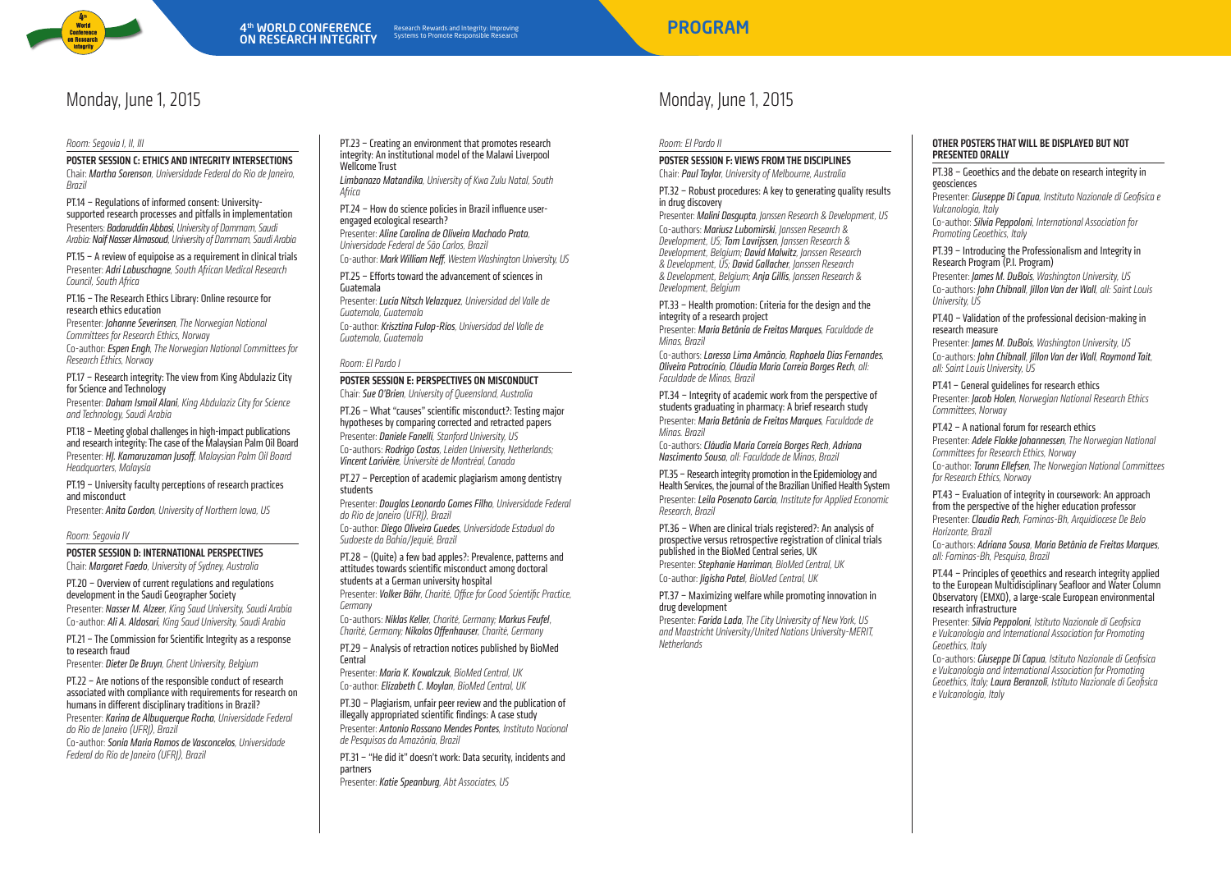

## Monday, June 1, 2015

### Room: Segovia I, II, III

Poster Session C: Ethics and integrity intersections Chair: MarthaSorenson, Universidade Federal do Rio de Janeiro, Brazil

PT.14 – Regulations of informed consent: Universitysupported research processes and pitfalls in implementation Presenters: Badaruddin Abbasi, University of Dammam, Saudi Arabia: Naif Nasser Almasoud, University of Dammam, Saudi Arabia

PT.15 – A review of equipoise as a requirement in clinical trials Presenter: Adri Labuschaane, South African Medical Research Council, South Africa

PT.16 – The Research Ethics Library: Online resource for research ethics education

Presenter: *Johanne Severinsen*, The Norwegian National Committees for Research Ethics, Norway

Co-author: Espen Engh, The Norwegian National Committees for Research Ethics, Norway

PT.17 – Research integrity: The view from King Abdulaziz City for Science and Technology

Presenter: Daham Ismail Alani, King Abdulaziz City for Science and Technology, Saudi Arabia

PT.18 – Meeting global challenges in high-impact publications and research integrity: The case of the Malaysian Palm Oil Board Presenter: HI. Kamaruzaman Jusoff, Malaysian Palm Oil Board Headquarters, Malaysia

PT.19 – University faculty perceptions of research practices and misconduct

Presenter: Anita Gordon, University of Northern Iowa, US

#### Room: Segovia IV

Poster Session D: International perspectives

Chair: Margaret Faedo, University of Sydney, Australia

PT.20 – Overview of current regulations and regulations development in the Saudi Geographer Society Presenter: Nasser M. Alzeer, King Saud University, Saudi Arabia Co-author: Ali A. Aldosari, King Saud University, Saudi Arabia

PT.21 – The Commission for Scientific Integrity as a response to research fraud

Presenter: Dieter De Bruyn, Ghent University, Belgium

PT.22 – Are notions of the responsible conduct of research associated with compliance with requirements for research on humans in different disciplinary traditions in Brazil? Presenter: Karina de Albuquerque Rocha, Universidade Federal do Rio de Janeiro (UFRJ), Brazil

Co-author: Sonia Maria Ramos de Vasconcelos, Universidade Federal do Rio de Janeiro (UFRJ), Brazil

PT.23 – Creating an environment that promotes research integrity: An institutional model of the Malawi Liverpool Wellcome Trust Limbanazo Matandika, University of Kwa Zulu Natal, South

Africa

PT.24 – How do science policies in Brazil influence userengaged ecological research? Presenter: Aline Carolina de Oliveira Machado Prata, Universidade Federal de São Carlos, Brazil

Co-author: Mark William Neff, Western Washington University, US

PT.25 – Efforts toward the advancement of sciences in Guatemala

Presenter: Lucía Nitsch Velazquez, Universidad del Valle de Guatemala, Guatemala Co-author: Krisztina Fulop-Ríos, Universidad del Valle de Guatemala, Guatemala

### Room: El Pardo I

POSTER SESSION E: PERSPECTIVES ON MISCONDUCT Chair: Sue O'Brien, University of Queensland, Australia

PT.26 – What "causes" scientific misconduct?: Testing major hypotheses by comparing corrected and retracted papers Presenter: Daniele Fanelli, Stanford University, US

Co-authors: Rodrigo Costas, Leiden University, Netherlands; Vincent Larivière, Université de Montréal, Canada

PT.27 – Perception of academic plagiarism among dentistry students

Presenter: Douglas Leonardo Gomes Filho, Universidade Federal do Rio de Janeiro (UFRJ), Brazil

Co-author: Diego Oliveira Guedes, Universidade Estadual do Sudoeste da Bahia/Jequié, Brazil

PT.28 – (Quite) a few bad apples?: Prevalence, patterns and attitudes towards scientific misconduct among doctoral students at a German university hospital Presenter: Volker Bähr, Charité, Office for Good Scientific Practice,

Germany Co-authors: Niklas Keller, Charité, Germany; Markus Feufel, Charité, Germany; Nikolas Offenhauser, Charité, Germany

PT.29 – Analysis of retraction notices published by BioMed **Central** 

Presenter: Maria K. Kowalczuk, BioMed Central, UK Co-author: Elizabeth C. Moylan, BioMed Central, UK

PT.30 – Plagiarism, unfair peer review and the publication of illegally appropriated scientific findings: A case study Presenter: Antonio Rossano Mendes Pontes, Instituto Nacional de Pesquisas da Amazônia, Brazil

PT.31 – "He did it" doesn't work: Data security, incidents and partners

Presenter: Katie Speanburg, Abt Associates, US

## Monday, June 1, 2015

Room: El Pardo II

POSTER SESSION F: VIEWS FROM THE DISCIPLINES Chair: Paul Taylor, University of Melbourne, Australia

PT.32 – Robust procedures: A key to generating quality results in drug discovery

Presenter: Malini Dasaupta, Janssen Research & Development, US Co-authors: Mariusz Lubomirski, Janssen Research & Development, US;Tom Lavrijssen, Janssen Research & Development, Belgium; David Malwitz, Janssen Research & Development, US; David Gallacher, Janssen Research & Development, Belgium; Anja Gillis, Janssen Research & Development, Belgium

PT.33 – Health promotion: Criteria for the design and the integrity of a research project

Presenter: Maria Betânia de Freitas Marques, Faculdade de Minas, Brazil

Co-authors: Laressa Lima Amâncio, Raphaela Dias Fernandes, Oliveira Patrocínio, Cláudia MariaCorreia Borges Rech, all: Faculdade de Minas, Brazil

PT.34 – Integrity of academic work from the perspective of students graduating in pharmacy: A brief research study Presenter: Maria Betânia de Freitas Marques, Faculdade de Minas. Brazil

Co-authors: Cláudia Maria Correia Borges Rech, Adriana Nascimento Sousa, all: Faculdade de Minas, Brazil

PT.35 – Research integrity promotion in the Epidemiology and Health Services, the journal of the Brazilian Unified Health System Presenter: Leila Posenato Garcia, Institute for Annlied Economic Research, Brazil

PT.36 – When are clinical trials registered?: An analysis of prospective versus retrospective registration of clinical trials published in the BioMed Central series, UK Presenter: Stephanie Harriman, BioMed Central, UK Co-author: Jigisha Patel, BioMed Central, UK

PT.37 – Maximizing welfare while promoting innovation in drug development

Presenter: Farida Lada, The City University of New York, US and Maastricht University/United Nations University-MERIT, **Netherlands** 

### Other postersthatwill be displayed but not presented orally

PT.38 – Geoethics and the debate on research integrity in geosciences

Presenter: Giusenne Di Canua, Instituto Nazionale di Geofisica e Vulcanologia, Italy

Co-author: Silvia Peppoloni, International Association for Promoting Geoethics, Italy

PT.39 – Introducing the Professionalism and Integrity in Research Program (P.I. Program)

Presenter: *James M. DuBois*, Washington University, US Co-authors: John Chibnall, Jillon Van der Wall, all: Saint Louis University, US

PT.40 – Validation of the professional decision-making in research measure

Presenter: James M. DuBois, Washington University, US Co-authors: John Chibnall, Jillon Van der Wall, Raymond Tait, all: Saint Louis University, US

PT.41 – General guidelines for research ethics

Presenter: Jacob Holen, Norwegian National Research Ethics Committees, Norway

### PT.42 – A national forum for research ethics

Presenter: Adele Flakke Johannessen, The Norwegian National Committees for Research Ethics, Norway

Co-author: Torunn Ellefsen, The Norwegian National Committees for Research Ethics, Norway

### PT.43 – Evaluation of integrity in coursework: An approach from the perspective of the higher education professor

Presenter: Claudia Rech, Faminas-Bh, Arquidiocese De Belo Horizonte, Brazil

Co-authors: Adriana Sousa, Maria Betânia de Freitas Marques, all: Faminas-Bh, Pesquisa, Brazil

#### PT.44 – Principles of geoethics and research integrity applied to the European Multidisciplinary Seafloor and Water Column Observatory (EMXO), a large-scale European environmental research infrastructure

Presenter: Silvia Peppoloni, Istituto Nazionale di Geofisica e Vulcanologia and International Association for Promoting Geoethics, Italy

Co-authors: Giuseppe Di Capua, Istituto Nazionale di Geofisica e Vulcanologia and International Association for Promoting Geoethics, Italy; Laura Beranzoli, Istituto Nazionale di Geofisica e Vulcanologia, Italy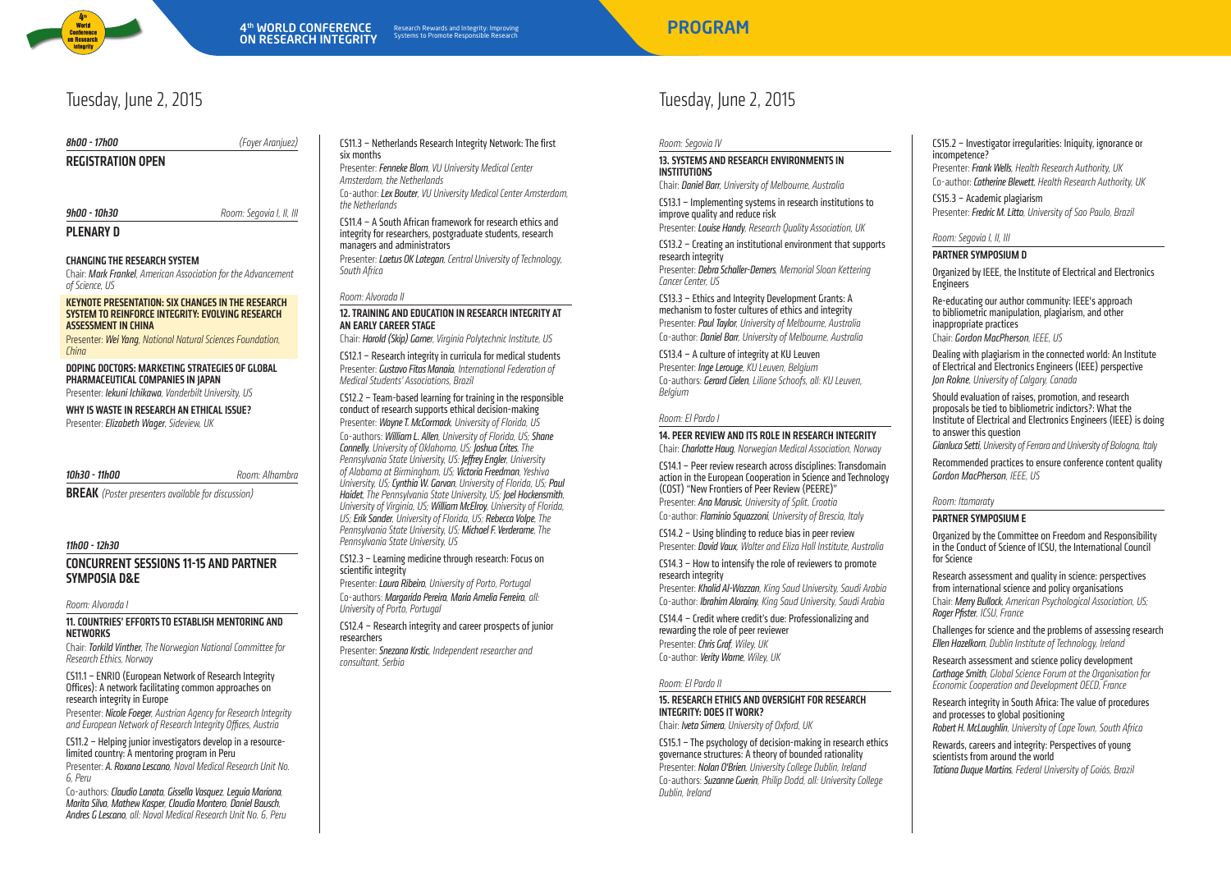

## Tuesday, June 2, 2015

8h00 - 17h00 (Foyer Aranjuez) REGISTRATION OPEN **9h00 - 10h30** Room: Segovia I, II, III PLENARY D

### Changing the research system

Chair: Mark Frankel, American Association for the Advancement of Science, US

### Keynote Presentation: Six changesin the research systemto reinforce integrity: Evolving research assessmentin China

Presenter: Wei Yang, National Natural Sciences Foundation, China

### Doping Doctors: Marketing strategies of global PHARMACEUTICAL COMPANIES IN IAPAN

Presenter: Iekuni Ichikawa, Vanderbilt University, US

### WHY IS WASTE IN RESEARCH AN ETHICAL ISSUE?

Presenter: Elizabeth Wager, Sideview, UK

#### **10h30 - 11h00** Room: Alhambra

**BREAK** (Poster presenters available for discussion)

### 11h00 - 12h30

### CONCURRENT SESSIONS 11-15 and PARTNER SYMPOSIA D&E

Room: Alvorada I

### 11. COUNTRIES' EFFORTS TO ESTABLISH MENTORING AND<br>NETWORKS networks

Chair: Torkild Vinther, The Norwegian National Committee for Research Ethics, Norway

### CS11.1 – ENRIO (European Network of Research Integrity Offices): A network facilitating common approaches on research integrity in Europe

Presenter: Nicole Foeger, Austrian Agency for Research Integrity and European Network of Research Integrity Offices, Austria

CS11.2 – Helping junior investigators develop in a resourcelimited country: A mentoring program in Peru

Presenter: A. Roxana Lescano, Naval Medical Research Unit No. 6, Peru

Co-authors: Claudio Lanata, Gissella Vasauez, Leguia Mariana, MaritaSilva, Mathew Kasper, Claudia Montero, Daniel Bausch, Andres G Lescano, all: Naval Medical Research Unit No. 6, Peru

### CS11.3 – Netherlands Research Integrity Network: The first six months

Presenter: Fenneke Blom, VU University Medical Center Amsterdam, the Netherlands Co-author: Lex Bouter, VU University Medical Center Amsterdam, the Netherlands

CS11.4 – A South African framework for research ethics and integrity for researchers, postgraduate students, research managers and administrators Presenter: Laetus OK Lategan, Central University of Technology, South Africa

### Room: Alvorada II

### 12. Training and education in research integrity at an early career stage

Chair: Harold (Skip) Garner, Virginia Polytechnic Institute, US

CS12.1 – Research integrity in curricula for medical students Presenter: Gustavo Fitas Manaia, International Federation of Medical Students' Associations, Brazil

CS12.2 – Team-based learning for training in the responsible conduct of research supports ethical decision-making Presenter: Wayne T. McCormack, University of Florida, US Co-authors: William L. Allen, University of Florida, US; Shane Connelly, University of Oklahoma, US; Joshua Crites, The Pennsylvania State University, US: **Jeffrey Engler**, University of Alabama at Birmingham, US; Victoria Freedman, Yeshiva University, US; Cynthia W. Garvan, University of Florida, US; Paul Haidet, The Pennsylvania State University, US; Joel Hockensmith, University of Virginia, US; William McElroy, University of Florida, US; Erik Sander, University of Florida, US; Rebecca Volpe. The Pennsylvania State University, US; Michael F. Verderame, The Pennsylvania State University, US

### CS12.3 – Learning medicine through research: Focus on scientific integrity

Presenter: Laura Ribeiro, University of Porto, Portugal Co-authors: Margarida Pereira, Maria Amelia Ferreira, all: University of Porto, Portugal

CS12.4 – Research integrity and career prospects of junior researchers

Presenter: Snezana Krstic, Independent researcher and consultant, Serbia

## Tuesday, June 2, 2015

### Room: Segovia IV

### 13. Systems and research environmentsin i<br>institutions<br>internationalist<br>internations

Chair: Daniel Barr, University of Melbourne, Australia

CS13.1 – Implementing systems in research institutions to improve quality and reduce risk

Presenter: Louise Handy, Research Ouality Association, UK CS13.2 – Creating an institutional environment that supports

research integrity Presenter: Debra Schaller-Demers, Memorial Sloan Kettering Cancer Center, US

CS13.3 – Ethics and Integrity Development Grants: A mechanism to foster cultures of ethics and integrity Presenter: Paul Taylor, University of Melbourne, Australia Co-author: Daniel Barr, University of Melbourne, Australia

CS13.4 – A culture of integrity at KU Leuven

Presenter: Inge Lerouge, KU Leuven, Belgium Co-authors: Gerard Cielen, Liliane Schoofs, all: KU Leuven, Belgium

### Room: El Pardo I

### 14. Peer reviewand its role in research integrity

Chair: Charlotte Haug, Norwegian Medical Association, Norway

CS14.1 – Peer review research across disciplines: Transdomain action in the European Cooperation in Science and Technology (COST) "New Frontiers of Peer Review (PEERE)" Presenter: Ana Marusic, University of Split, Croatia Co-author: Flaminio Squazzoni, University of Brescia, Italy

CS14.2 – Using blinding to reduce bias in peer review Presenter: David Vaux, Walter and Eliza Hall Institute, Australia

CS14.3 – How to intensify the role of reviewers to promote research integrity

Presenter: Khalid Al-Wazzan, King Saud University, Saudi Arabia Co-author: Ibrahim Alorainy, King Saud University, Saudi Arabia

CS14.4 – Credit where credit's due: Professionalizing and rewarding the role of peer reviewer Presenter: Chris Graf, Wiley, UK Co-author: Verity Warne, Wiley, UK

### Room: El Pardo II

### 15. RESEARCH ETHICS AND OVERSIGHT FOR RESEARCH INTEGRITY: DOES IT WORK?

Chair: IvetaSimera, University of Oxford, UK

CS15.1 – The psychology of decision-making in research ethics governance structures: A theory of bounded rationality Presenter: Nolan O'Brien, University College Dublin, Ireland Co-authors: Suzanne Guerin, Philip Dodd, all: University College Dublin, Ireland

CS15.2 – Investigator irregularities: Iniquity, ignorance or incompetence?

Presenter: Frank Wells, Health Research Authority, UK Co-author: Catherine Blewett, Health Research Authority, UK

CS15.3 – Academic plagiarism Presenter: Fredric M. Litto, University of Sao Paulo, Brazil

### Room: Segovia I, II, III

### Partner Symposium D

Organized by IEEE, the Institute of Electrical and Electronics **Engineers** 

Re-educating our author community: IEEE's approach to bibliometric manipulation, plagiarism, and other inappropriate practices

Chair: Gordon MacPherson, IEEE, US

Dealing with plagiarism in the connected world: An Institute of Electrical and Electronics Engineers (IEEE) perspective Jon Rokne, University of Calgary, Canada

Should evaluation of raises, promotion, and research proposals be tied to bibliometric indictors?: What the Institute of Electrical and Electronics Engineers (IEEE) is doing to answer this question

Gianluca Setti, University of Ferrara and University of Bologna, Italy

Recommended practices to ensure conference content quality Gordon MacPherson, IEEE, US

### Room: Itamaraty

### Partner Symposium E

Organized by the Committee on Freedom and Responsibility in the Conduct of Science of ICSU, the International Council for Science

Research assessment and quality in science: perspectives from international science and policy organisations Chair: Merry Bullock, American Psychological Association, US; Roger Pfister, ICSU, France

Challenges for science and the problems of assessing research Ellen Hazelkorn, Dublin Institute of Technology, Ireland

Research assessment and science policy development **Carthage Smith, Global Science Forum at the Organisation for** Economic Cooperation and Development OECD, France

Research integrity in South Africa: The value of procedures and processes to global positioning Robert H. McLaughlin, University of Cape Town, South Africa

Rewards, careers and integrity: Perspectives of young scientists from around the world Tatiana Duque Martins, Federal University of Goiás, Brazil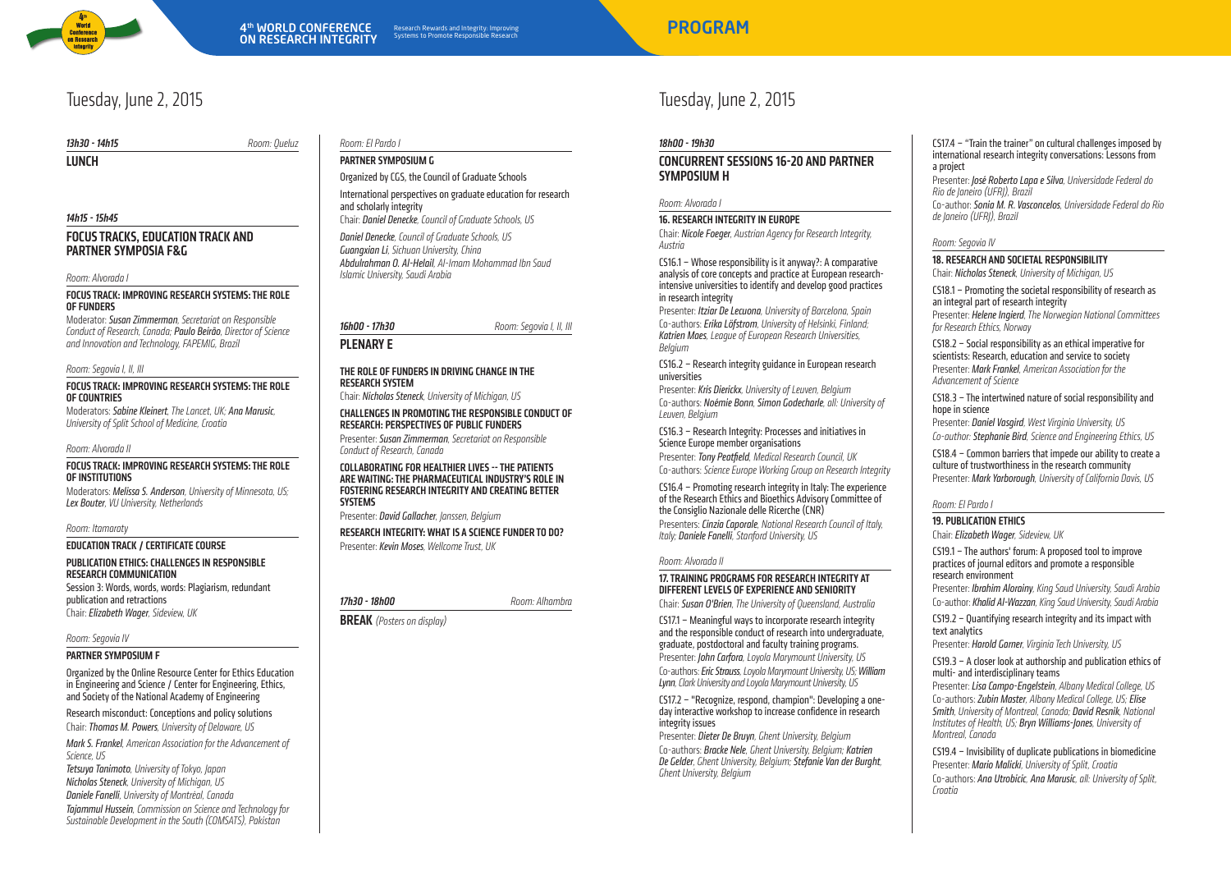

## Tuesday, June 2, 2015

**13h30 - 14h15** Room: Queluz

**LUNCH** 

### 14h15 - 15h45

### FOCUS TRACKS, EDUCATION TRACK AND PARTNER SYMPOSIA F&G

Room: Alvorada I

### Focus Track: Improving research systems: The role OF FUNDERS

Moderator: Susan Zimmerman, Secretariat on Responsible Conduct of Research, Canada; Paulo Beirão, Director of Science and Innovation and Technology, FAPEMIG, Brazil

### Room: Segovia I, II, III

### Focus Track: Improving research systems: The role ofcountries

Moderators: Sabine Kleinert, The Lancet, UK; Ana Marusic, University of Split School of Medicine, Croatia

### Room: Alvorada II

### Focus Track: Improving research systems: The role ofinstitutions

Moderators: Melissa S. Anderson, University of Minnesota, US; Lex Bouter, VU University, Netherlands

### Room: Itamaraty

### Education Track / Certificate course

PUBLICATION ETHICS: CHALLENGES IN RESPONSIBLE research communication

Session 3: Words, words, words: Plagiarism, redundant publication and retractions Chair: Elizabeth Wager, Sideview, UK

### Room: Segovia IV

### Partner Symposium F

Organized by the Online Resource Center for Ethics Education in Engineering and Science / Center for Engineering, Ethics, and Society of the National Academy of Engineering

Research misconduct: Conceptions and policy solutions Chair: Thomas M. Powers, University of Delaware, US

Mark S. Frankel, American Association for the Advancement of Science, US

Tetsuya Tanimoto, University of Tokyo, Japan Nicholas Steneck, University of Michigan, US Daniele Fanelli, University of Montréal, Canada Tajammul Hussein, Commission on Science and Technology for Sustainable Development in the South (COMSATS), Pakistan

### Room: El Pardo I

### Partner Symposium G

Organized by CGS, the Council of Graduate Schools

International perspectives on graduate education for research and scholarly integrity Chair: Daniel Denecke, Council of Graduate Schools, US

Daniel Denecke, Council of Graduate Schools, US Guangxian Li, Sichuan University, China Abdulrahman O. Al-Helail, Al-Imam Mohammad Ibn Saud Islamic University, Saudi Arabia

**16h00 - 17h30** Room: Segovia I, II, III

### PLENARY E

### THE ROLE OF FUNDERS IN DRIVING CHANGE IN THE research system

Chair: Nicholas Steneck, University of Michigan, US

### Challengesin promoting the responsible conduct of RESEARCH: PERSPECTIVES OF PUBLIC FUNDERS

Presenter: Susan Zimmerman, Secretariat on Responsible Conduct of Research, Canada

### Collaborating for healthier lives -- the patients arewaiting: The pharmaceutical industry's role in fostering research integrity and creating better systems

Presenter: David Gallacher, Janssen, Belgium

### RESEARCH INTEGRITY: WHAT IS A SCIENCE FUNDER TO DO? Presenter: Kevin Moses, Wellcome Trust, UK

17h30 - 18h00 Room: Alhambra

**BREAK** (Posters on display)

### Tuesday, June 2, 2015

### 18h00 - 19h30

### CONCURRENT SESSIONS 16-20 AND PARTNER SYMPOSIUM H

### Room: Alvorada

### 16. Research integrity in Europe

Chair: Nicole Foeger, Austrian Agency for Research Integrity, Austria

CS16.1 – Whose responsibility is it anyway?: A comparative analysis of core concepts and practice at European researchintensive universities to identify and develop good practices in research integrity

Presenter: Itziar De Lecuona, University of Barcelona, Spain Co-authors: ErikaLöfstrom, University of Helsinki, Finland; Katrien Maes, League of European Research Universities, **Belgium** 

CS16.2 – Research integrity guidance in European research universities

Presenter: Kris Dierickx, University of Leuven, Belgium Co-authors: Noémie Bonn, Simon Godecharle, all: University of Leuven, Belgium

CS16.3 – Research Integrity: Processes and initiatives in Science Europe member organisations

Presenter: Tony Peatfield, Medical Research Council, UK Co-authors: Science Europe Working Group on Research Integrity

CS16.4 – Promoting research integrity in Italy: The experience of the Research Ethics and Bioethics Advisory Committee of the Consiglio Nazionale delle Ricerche (CNR) Presenters: Cinzia Caporale, National Research Council of Italy, Italy: Daniele Fanelli, Stanford University, US

### Room: Alvorada II

### 17. TRAINING PROGRAMS FOR RESEARCH INTEGRITY AT differentlevels of experience and seniority

Chair: Susan O'Brien, The University of Queensland, Australia

CS17.1 – Meaningful ways to incorporate research integrity and the responsible conduct of research into undergraduate, graduate, postdoctoral and faculty training programs. Presenter: John Carfora, Loyola Marymount University, US Co-authors: EricStrauss, Loyola Marymount University, US; William Lynn, Clark University and Loyola Marymount University, US

CS17.2 – "Recognize, respond, champion": Developing a oneday interactive workshop to increase confidence in research integrity issues

Presenter: Dieter De Bruyn, Ghent University, Belgium Co-authors: Bracke Nele, Ghent University, Belgium; Katrien De Gelder, Ghent University, Belgium; Stefanie Van der Burght, Ghent University, Belgium

CS17.4 – "Train the trainer" on cultural challenges imposed by international research integrity conversations: Lessons from a project

Presenter: José RobertoLapae Silva, Universidade Federal do Rio de Janeiro (UFRJ), Brazil

Co-author: Sonia M. R. Vasconcelos, Universidade Federal do Rio de Janeiro (UFRJ), Brazil

### Room: Segovia IV

### 18. RESEARCH AND SOCIETAL RESPONSIBILITY

Chair: Nicholas Steneck, University of Michigan, US

CS18.1 – Promoting the societal responsibility of research as an integral part of research integrity

Presenter: Helene Ingierd, The Norwegian National Committees for Research Ethics, Norway

CS18.2 – Social responsibility as an ethical imperative for scientists: Research, education and service to society Presenter: Mark Frankel, American Association for the Advancement of Science

CS18.3 – The intertwined nature of social responsibility and hope in science

Presenter: Daniel Vasaird, West Virginia University, US Co-author: Stephanie Bird, Science and Engineering Ethics, US

CS18.4 – Common barriers that impede our ability to create a culture of trustworthiness in the research community Presenter: Mark Yarborough, University of California Davis, US

### Room: El Pardo I

### 19. Publication ethics

Chair: Elizabeth Wager, Sideview, UK

CS19.1 – The authors' forum: A proposed tool to improve practices of journal editors and promote a responsible research environment

Presenter: Ibrahim Alorainy, King Saud University, Saudi Arabia Co-author: Khalid Al-Wazzan, King Saud University, Saudi Arabia

CS19.2 – Quantifying research integrity and its impact with text analytics

Presenter: Harold Garner, Virginia Tech University, US

CS19.3 – A closer look at authorship and publication ethics of multi- and interdisciplinary teams

Presenter: Lisa Campo-Engelstein, Albany Medical College, US Co-authors: Zubin Master, Albany Medical College, US; Elise Smith, University of Montreal, Canada; David Resnik, National Institutes of Health, US; Bryn Williams-Jones, University of Montreal, Canada

CS19.4 – Invisibility of duplicate publications in biomedicine Presenter: Mario Malicki, University of Split, Croatia Co-authors: Ana Utrobicic, Ana Marusic, all: University of Split, Croatia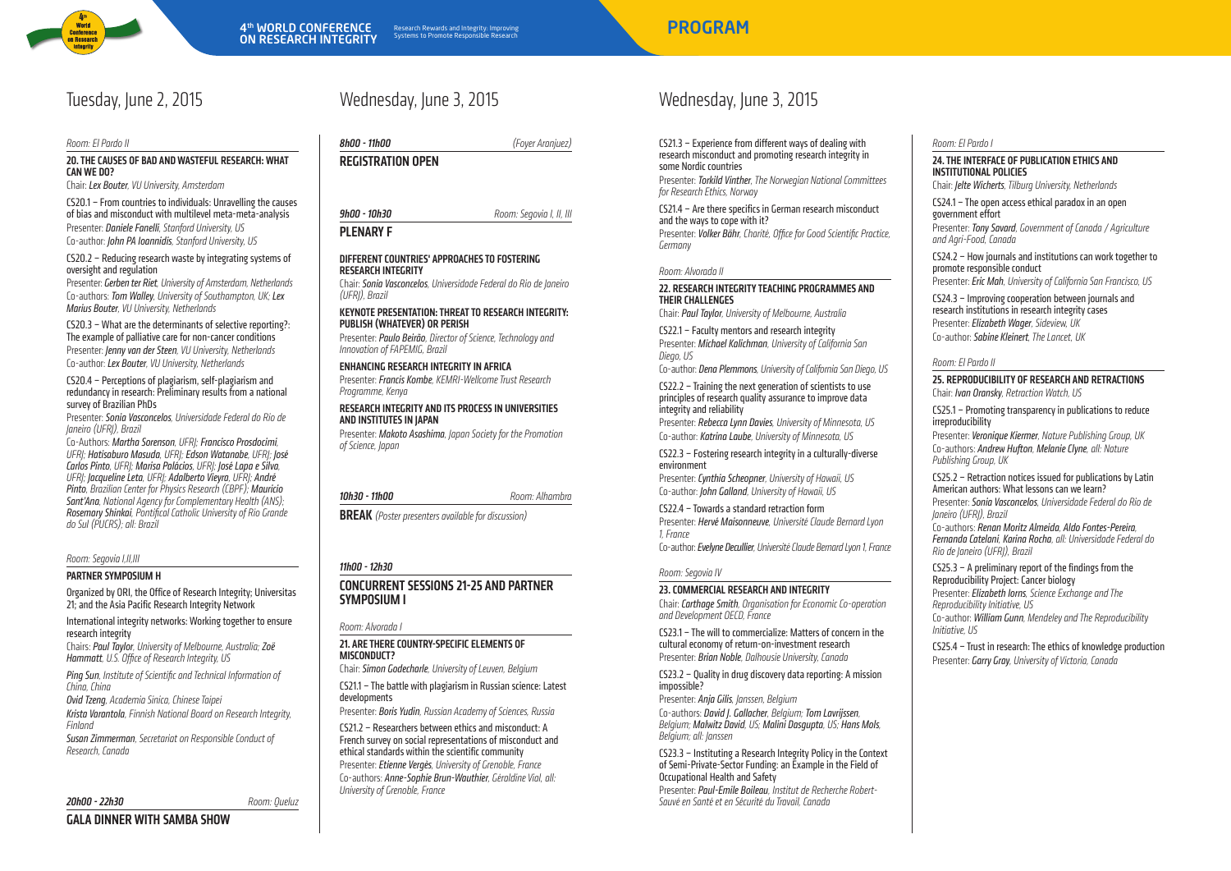

Room: El Pardo II

### 20. THE CAUSES OF BAD AND WASTEFUL RESEARCH: WHAT canwe do?

Chair: Lex Bouter, VU University, Amsterdam

CS20.1 – From countries to individuals: Unravelling the causes of bias and misconduct with multilevel meta-meta-analysis Presenter: Daniele Fanelli, Stanford University, US Co-author: John PA Ioannidis, Stanford University, US

### CS20.2 – Reducing research waste by integrating systems of oversight and regulation

Presenter: Gerben ter Riet, University of Amsterdam, Netherlands Co-authors: Tom Walley, University of Southampton, UK; Lex Marius Bouter, VU University, Netherlands

CS20.3 – What are the determinants of selective reporting?: The example of palliative care for non-cancer conditions Presenter: Jenny van der Steen, VU University, Netherlands Co-author: Lex Bouter, VU University, Netherlands

CS20.4 – Perceptions of plagiarism, self-plagiarism and redundancy in research: Preliminary results from a national survey of Brazilian PhDs

Presenter: SoniaVasconcelos, Universidade Federal do Rio de Janeiro (UFRJ), Brazil

Co-Authors: Martha Sorenson, UFRJ; Francisco Prosdocimi, UFRJ; Hatisaburo Masuda, UFRJ; Edson Watanabe, UFRJ; José Carlos Pinto, UFRJ; Marisa Palácios, UFRJ; José Lapa e Silva, UFRI; Jacqueline Leta, UFRI; Adalberto Vieyra, UFRI; André Pinto, Brazilian Center for Physics Research (CBPF); Mauricio Sant'Ana, National Agency for Complementary Health (ANS); Rosemary Shinkai, Pontifical Catholic University of Rio Grande do Sul (PUCRS); all: Brazil

### Room: Segovia I,II,III

#### Partner Symposium H

Organized by ORI, the Office of Research Integrity; Universitas 21; and the Asia Pacific Research Integrity Network

International integrity networks: Working together to ensure research integrity

Chairs: Paul Taylor, University of Melbourne, Australia; Zoë Hammatt, U.S. Office of Research Integrity, US

Ping Sun, Institute of Scientific and Technical Information of China, China

Ovid Tzeng, Academia Sinica, Chinese Taipei

GALA DINNER WITH SAMBA SHOW

Krista Varantola, Finnish National Board on Research Integrity, Finland

Susan Zimmerman, Secretariat on Responsible Conduct of Research, Canada

20h00 - 22h30 Room: Queluz

## Tuesday, June 2, 2015 Wednesday, June 3, 2015

8h00 - 11h00 (Foyer Aranjuez) REGISTRATION OPEN

**9h00 - 10h30** Room: Segovia I, II, III PLENARY F

### DIFFERENT COUNTRIES' APPROACHES TO FOSTERING research integrity

Chair: SoniaVasconcelos, Universidade Federal do Rio de Janeiro (UFRJ), Brazil

KEYNOTE PRESENTATION: THREAT TO RESEARCH INTEGRITY: Publish (whatever) or perish

Presenter: Paulo Beirão, Director of Science, Technology and Innovation of FAPEMIG, Brazil

### Enhancing research integrity in Africa

Presenter: Francis Kombe, KEMRI-Wellcome Trust Research Programme, Kenya

### Research integrity and its processin universities **AND INSTITUTES IN IAPAN**

Presenter: Makoto Asashima, Japan Society for the Promotion of Science, Japan

10h30 - 11h00 **Room: Alhambra** 

**BREAK** (Poster presenters available for discussion)

### 11h00 - 12h30

CONCURRENT SESSIONS 21-25 AND PARTNER SYMPOSIUM I

### Room: Alvorada I

21. Are there country-specific elements of misconduct?

Chair: Simon Godecharle, University of Leuven, Belgium CS21.1 – The battle with plagiarism in Russian science: Latest developments

Presenter: Boris Yudin, Russian Academy of Sciences, Russia

CS21.2 – Researchers between ethics and misconduct: A French survey on social representations of misconduct and ethical standards within the scientific community Presenter: Etienne Vergès, University of Grenoble, France Co-authors: Anne-Sophie Brun-Wauthier, Géraldine Vial, all: University of Grenoble, France

# Wednesday, June 3, 2015

CS21.3 – Experience from different ways of dealing with research misconduct and promoting research integrity in some Nordic countries Presenter: Torkild Vinther, The Norwegian National Committees

for Research Ethics, Norway CS21.4 – Are there specifics in German research misconduct and the ways to cope with it?

Presenter: Volker Bähr, Charité, Office for Good Scientific Practice, Germany

### Room: Alvorada II

### 22. Research integrity teaching programmes and their challenges

Chair: Paul Taylor, University of Melbourne, Australia

CS22.1 – Faculty mentors and research integrity Presenter: Michael Kalichman, University of California San Diego, US

Co-author: Dena Plemmons, University of California San Diego, US

### CS22.2 – Training the next generation of scientists to use principles of research quality assurance to improve data integrity and reliability

Presenter: Rebecca Lynn Davies, University of Minnesota, US Co-author: KatrinaLaube, University of Minnesota, US

CS22.3 – Fostering research integrity in a culturally-diverse environment

Presenter: Cynthia Scheopner, University of Hawaii, US Co-author: John Galland, University of Hawaii, US

CS22.4 – Towards a standard retraction form

Presenter: Hervé Maisonneuve, Université Claude Bernard Lyon 1, France Co-author: Evelyne Decullier, Université Claude Bernard Lyon 1, France

### Room: Segovia IV

### 23. Commercial research and integrity

Chair: Carthage Smith, Organisation for Economic Co-operation and Development OECD, France

CS23.1 – The will to commercialize: Matters of concern in the cultural economy of return-on-investment research Presenter: Brian Noble, Dalhousie University, Canada

CS23.2 – Quality in drug discovery data reporting: A mission impossible?

Presenter: Anja Gilis, Janssen, Belgium Co-authors: David J. Gallacher, Belgium; Tom Lavrijssen, Belgium; Malwitz David, US; Malini Dasgupta, US; Hans Mols Belgium; all: Janssen

CS23.3 – Instituting a Research Integrity Policy in the Context of Semi-Private-Sector Funding: an Example in the Field of Occupational Health and Safety

Presenter: Paul-Emile Boileau, Institut de Recherche Robert-Sauvé en Santé et en Sécurité du Travail, Canada

Room: El Pardo I

### 24. THE INTERFACE OF PUBLICATION ETHICS AND institutional policies

Chair: Jelte Wicherts, Tilburg University, Netherlands

CS24.1 – The open access ethical paradox in an open government effort

Presenter: Tony Savard, Government of Canada / Agriculture and Agri-Food, Canada

CS24.2 – How journals and institutions can work together to promote responsible conduct Presenter: Eric Mah, University of California San Francisco, US

CS24.3 – Improving cooperation between journals and research institutions in research integrity cases

Presenter: Elizabeth Wager, Sideview, UK Co-author: Sabine Kleinert, The Lancet, UK

### Room: El Pardo II

25. Reproducibility of research and retractions Chair: Ivan Oransky, Retraction Watch, US

CS25.1 – Promoting transparency in publications to reduce irreproducibility

Presenter: Veronique Kiermer, Nature Publishing Group, UK Co-authors: Andrew Hufton, Melanie Clyne, all: Nature Publishing Group, UK

CS25.2 – Retraction notices issued for publications by Latin American authors: What lessons can we learn?

Presenter: SoniaVasconcelos, Universidade Federal do Rio de Janeiro (UFRJ), Brazil

Co-authors: Renan Moritz Almeida, Aldo Fontes-Pereira, FernandaCatelani, Karina Rocha, all: Universidade Federal do Rio de Janeiro (UFRJ), Brazil

CS25.3 – A preliminary report of the findings from the Reproducibility Project: Cancer biology

Presenter: Elizabeth Iorns, Science Exchange and The Reproducibility Initiative, US Co-author: William Gunn, Mendeley and The Reproducibility Initiative, US

CS25.4 – Trust in research: The ethics of knowledge production Presenter: Garry Gray, University of Victoria, Canada

Research Rewards and Integrity: Improving entitled and the state of the **PROGRAM**